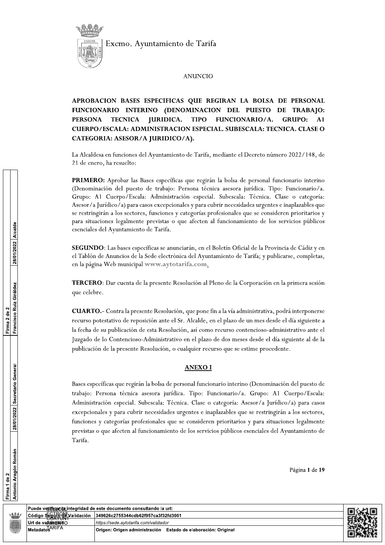

# **ANUNCIO**

APROBACION BASES ESPECIFICAS QUE REGIRAN LA BOLSA DE PERSONAL FUNCIONARIO INTERINO (DENOMINACION DEL PUESTO DE TRABAJO: **PERSONA TECNICA JURIDICA. TIPO** FUNCIONARIO/A. **GRUPO:**  $A<sub>1</sub>$ **CUERPO/ESCALA: ADMINISTRACION ESPECIAL. SUBESCALA: TECNICA. CLASE O** CATEGORIA: ASESOR/A JURIDICO/A).

La Alcaldesa en funciones del Ayuntamiento de Tarifa, mediante el Decreto número 2022/148, de 21 de enero, ha resuelto:

PRIMERO: Aprobar las Bases específicas que regirán la bolsa de personal funcionario interino (Denominación del puesto de trabajo: Persona técnica asesora jurídica. Tipo: Funcionario/a. Grupo: A1 Cuerpo/Escala: Administración especial. Subescala: Técnica. Clase o categoría: Asesor/a Jurídico/a) para casos excepcionales y para cubrir necesidades urgentes e inaplazables que se restringirán a los sectores, funciones y categorías profesionales que se consideren prioritarios y para situaciones legalmente previstas o que afecten al funcionamiento de los servicios públicos esenciales del Ayuntamiento de Tarifa.

SEGUNDO: Las bases específicas se anunciarán, en el Boletín Oficial de la Provincia de Cádiz y en el Tablón de Anuncios de la Sede electrónica del Ayuntamiento de Tarifa; y publicarse, completas, en la página Web municipal www.aytotarifa.com.

TERCERO: Dar cuenta de la presente Resolución al Pleno de la Corporación en la primera sesión que celebre.

CUARTO.- Contra la presente Resolución, que pone fin a la vía administrativa, podrá interponerse recurso potestativo de reposición ante el Sr. Alcalde, en el plazo de un mes desde el día siguiente a la fecha de su publicación de esta Resolución, así como recurso contencioso-administrativo ante el Juzgado de lo Contencioso-Administrativo en el plazo de dos meses desde el día siguiente al de la publicación de la presente Resolución, o cualquier recurso que se estime procedente.

#### **ANEXOI**

Bases específicas que regirán la bolsa de personal funcionario interino (Denominación del puesto de trabajo: Persona técnica asesora jurídica. Tipo: Funcionario/a. Grupo: A1 Cuerpo/Escala: Administración especial. Subescala: Técnica. Clase o categoría: Asesor/a Jurídico/a) para casos excepcionales y para cubrir necesidades urgentes e inaplazables que se restringirán a los sectores, funciones y categorías profesionales que se consideren prioritarios y para situaciones legalmente previstas o que afecten al funcionamiento de los servicios públicos esenciales del Ayuntamiento de Tarifa.

Página 1 de 19

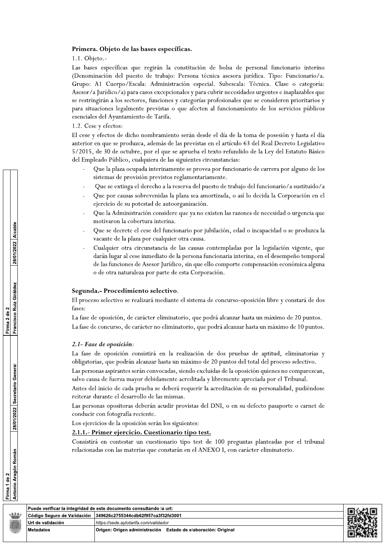#### Primera. Objeto de las bases específicas.

1.1. Objeto.-

Las bases específicas que regirán la constitución de bolsa de personal funcionario interino (Denominación del puesto de trabajo: Persona técnica asesora jurídica. Tipo: Funcionario/a. Grupo: A1 Cuerpo/Escala: Administración especial. Subescala: Técnica. Clase o categoría: Asesor/a Jurídico/a) para casos excepcionales y para cubrir necesidades urgentes e inaplazables que se restringirán a los sectores, funciones y categorías profesionales que se consideren prioritarios y para situaciones legalmente previstas o que afecten al funcionamiento de los servicios públicos esenciales del Ayuntamiento de Tarifa.

#### 1.2. Cese y efectos:

El cese y efectos de dicho nombramiento serán desde el día de la toma de posesión y hasta el día anterior en que se produzca, además de las previstas en el artículo 63 del Real Decreto Legislativo 5/2015, de 30 de octubre, por el que se aprueba el texto refundido de la Ley del Estatuto Básico del Empleado Público, cualquiera de las siguientes circunstancias:

- Que la plaza ocupada interinamente se provea por funcionario de carrera por alguno de los sistemas de provisión previstos reglamentariamente.
- Que se extinga el derecho a la reserva del puesto de trabajo del funcionario/a sustituido/a
- Que por causas sobrevenidas la plaza sea amortizada, o así lo decida la Corporación en el ejercicio de su potestad de autoorganización.
- Que la Administración considere que ya no existen las razones de necesidad o urgencia que motivaron la cobertura interina.
- Que se decrete el cese del funcionario por jubilación, edad o incapacidad o se produzca la vacante de la plaza por cualquier otra causa.
- Cualquier otra circunstancia de las causas contempladas por la legislación vigente, que darán lugar al cese inmediato de la persona funcionaria interina, en el desempeño temporal de las funciones de Asesor Jurídico, sin que ello comporte compensación económica alguna o de otra naturaleza por parte de esta Corporación.

#### Segunda.- Procedimiento selectivo.

El proceso selectivo se realizará mediante el sistema de concurso-oposición libre y constará de dos fases:

La fase de oposición, de carácter eliminatorio, que podrá alcanzar hasta un máximo de 20 puntos. La fase de concurso, de carácter no eliminatorio, que podrá alcanzar hasta un máximo de 10 puntos.

#### 2.1- Fase de oposición:

Puede verificar la integridad de este documento consultando la

Código Seguro de Validación

Url de validación

**Metadatos** 

La fase de oposición consistirá en la realización de dos pruebas de aptitud, eliminatorias y obligatorias, que podrán alcanzar hasta un máximo de 20 puntos del total del proceso selectivo.

Las personas aspirantes serán convocadas, siendo excluidas de la oposición quienes no comparezcan, salvo causa de fuerza mayor debidamente acreditada y libremente apreciada por el Tribunal.

Antes del inicio de cada prueba se deberá requerir la acreditación de su personalidad, pudiéndose reiterar durante el desarrollo de las mismas.

Las personas opositoras deberán acudir provistas del DNI, o en su defecto pasaporte o carnet de conducir con fotografía reciente.

Los ejercicios de la oposición serán los siguientes:

349626c2755344cdb62f957ca3f32

https://sede.aytotarifa.com/validad

Origen: Origen administración

#### 2.1.1.- Primer ejercicio. Cuestionario tipo test.

Consistirá en contestar un cuestionario tipo test de 100 preguntas planteadas por el tribunal relacionadas con las materias que constarán en el ANEXO I, con carácter eliminatorio.

| url:                            |  |
|---------------------------------|--|
| 2fd3001                         |  |
|                                 |  |
| Estado de elaboración: Original |  |
|                                 |  |

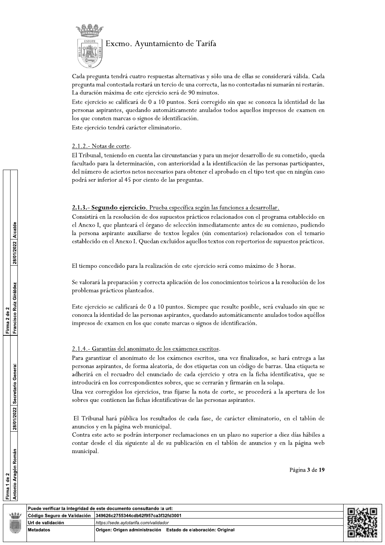

Cada pregunta tendrá cuatro respuestas alternativas y sólo una de ellas se considerará válida. Cada pregunta mal contestada restará un tercio de una correcta, las no contestadas ni sumarán ni restarán. La duración máxima de este ejercicio será de 90 minutos.

Este ejercicio se calificará de 0 a 10 puntos. Será corregido sin que se conozca la identidad de las personas aspirantes, quedando automáticamente anulados todos aquellos impresos de examen en los que consten marcas o signos de identificación.

Este ejercicio tendrá carácter eliminatorio.

# 2.1.2.- Notas de corte.

El Tribunal, teniendo en cuenta las circunstancias y para un mejor desarrollo de su cometido, queda facultado para la determinación, con anterioridad a la identificación de las personas participantes, del número de aciertos netos necesarios para obtener el aprobado en el tipo test que en ningún caso podrá ser inferior al 45 por ciento de las preguntas.

# 2.1.3.- Segundo ejercicio. Prueba específica según las funciones a desarrollar.

Consistirá en la resolución de dos supuestos prácticos relacionados con el programa establecido en el Anexo I, que planteará el órgano de selección inmediatamente antes de su comienzo, pudiendo la persona aspirante auxiliarse de textos legales (sin comentarios) relacionados con el temario establecido en el Anexo I. Quedan excluidos aquellos textos con repertorios de supuestos prácticos.

El tiempo concedido para la realización de este ejercicio será como máximo de 3 horas.

Se valorará la preparación y correcta aplicación de los conocimientos teóricos a la resolución de los problemas prácticos planteados.

Este ejercicio se calificará de 0 a 10 puntos. Siempre que resulte posible, será evaluado sin que se conozca la identidad de las personas aspirantes, quedando automáticamente anulados todos aquéllos impresos de examen en los que conste marcas o signos de identificación.

# 2.1.4.- Garantías del anonimato de los exámenes escritos.

Para garantizar el anonimato de los exámenes escritos, una vez finalizados, se hará entrega a las personas aspirantes, de forma aleatoria, de dos etiquetas con un código de barras. Una etiqueta se adherirá en el recuadro del enunciado de cada ejercicio y otra en la ficha identificativa, que se introducirá en los correspondientes sobres, que se cerrarán y firmarán en la solapa.

Una vez corregidos los ejercicios, tras fijarse la nota de corte, se procederá a la apertura de los sobres que contienen las fichas identificativas de las personas aspirantes.

El Tribunal hará pública los resultados de cada fase, de carácter eliminatorio, en el tablón de anuncios y en la página web municipal.

Contra este acto se podrán interponer reclamaciones en un plazo no superior a diez días hábiles a contar desde el día siguiente al de su publicación en el tablón de anuncios y en la página web municipal.

Página 3 de 19

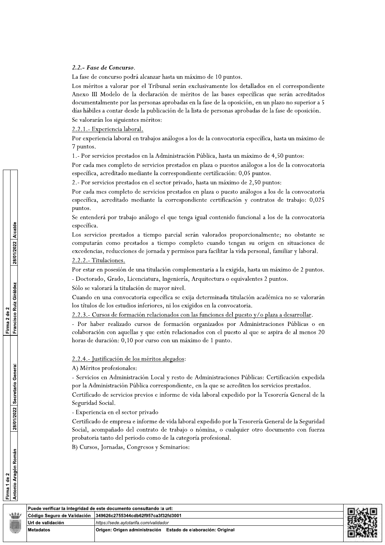#### 2.2.- Fase de Concurso.

La fase de concurso podrá alcanzar hasta un máximo de 10 puntos.

Los méritos a valorar por el Tribunal serán exclusivamente los detallados en el correspondiente Anexo III Modelo de la declaración de méritos de las bases específicas que serán acreditados documentalmente por las personas aprobadas en la fase de la oposición, en un plazo no superior a 5 días hábiles a contar desde la publicación de la lista de personas aprobadas de la fase de oposición. Se valorarán los siguientes méritos:

2.2.1. Experiencia laboral.

Por experiencia laboral en trabajos análogos a los de la convocatoria específica, hasta un máximo de 7 puntos.

1.- Por servicios prestados en la Administración Pública, hasta un máximo de 4,50 puntos:

Por cada mes completo de servicios prestados en plaza o puestos análogos a los de la convocatoria específica, acreditado mediante la correspondiente certificación: 0,05 puntos.

2.- Por servicios prestados en el sector privado, hasta un máximo de 2,50 puntos:

Por cada mes completo de servicios prestados en plaza o puesto análogos a los de la convocatoria específica, acreditado mediante la correspondiente certificación y contratos de trabajo: 0,025 puntos.

Se entenderá por trabajo análogo el que tenga igual contenido funcional a los de la convocatoria específica.

Los servicios prestados a tiempo parcial serán valorados proporcionalmente; no obstante se computarán como prestados a tiempo completo cuando tengan su origen en situaciones de excedencias, reducciones de jornada y permisos para facilitar la vida personal, familiar y laboral.

#### 2.2.2. Titulaciones.

Por estar en posesión de una titulación complementaria a la exigida, hasta un máximo de 2 puntos.

- Doctorado, Grado, Licenciatura, Ingeniería, Arquitectura o equivalentes 2 puntos.

Sólo se valorará la titulación de mayor nivel.

Cuando en una convocatoria específica se exija determinada titulación académica no se valorarán los títulos de los estudios inferiores, ni los exigidos en la convocatoria.

2.2.3.- Cursos de formación relacionados con las funciones del puesto y/o plaza a desarrollar.

- Por haber realizado cursos de formación organizados por Administraciones Públicas o en colaboración con aquellas y que estén relacionados con el puesto al que se aspira de al menos 20 horas de duración: 0,10 por curso con un máximo de 1 punto.

#### 2.2.4.- Justificación de los méritos alegados:

A) Méritos profesionales:

- Servicios en Administración Local y resto de Administraciones Públicas: Certificación expedida por la Administración Pública correspondiente, en la que se acrediten los servicios prestados.

Certificado de servicios previos e informe de vida laboral expedido por la Tesorería General de la Seguridad Social.

- Experiencia en el sector privado

Certificado de empresa e informe de vida laboral expedido por la Tesorería General de la Seguridad Social, acompañado del contrato de trabajo o nómina, o cualquier otro documento con fuerza probatoria tanto del periodo como de la categoría profesional.

B) Cursos, Jornadas, Congresos y Seminarios:

| Puede verificar la integridad de este documento consultando la url: |                                                                  |  |  |
|---------------------------------------------------------------------|------------------------------------------------------------------|--|--|
| ⊺Código Seguro de Validación ∃349626c2755344cdb62f957ca3f32fd3001   |                                                                  |  |  |
| Url de validación                                                   | https://sede.avtotarifa.com/validador                            |  |  |
| l Metadatos                                                         | Origen: Origen administración<br>Estado de elaboración: Original |  |  |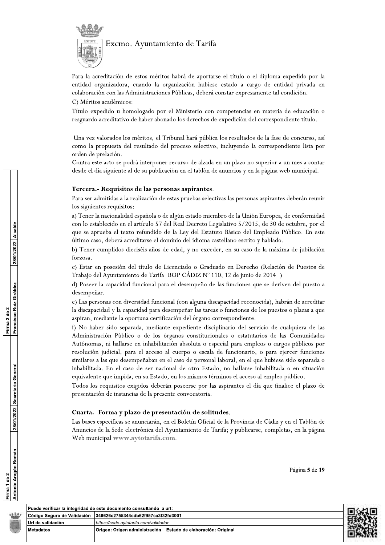

Para la acreditación de estos méritos habrá de aportarse el título o el diploma expedido por la entidad organizadora, cuando la organización hubiese estado a cargo de entidad privada en colaboración con las Administraciones Públicas, deberá constar expresamente tal condición.

C) Méritos académicos:

Título expedido u homologado por el Ministerio con competencias en materia de educación o resguardo acreditativo de haber abonado los derechos de expedición del correspondiente título.

Una vez valorados los méritos, el Tribunal hará pública los resultados de la fase de concurso, así como la propuesta del resultado del proceso selectivo, incluyendo la correspondiente lista por orden de prelación.

Contra este acto se podrá interponer recurso de alzada en un plazo no superior a un mes a contar desde el día siguiente al de su publicación en el tablón de anuncios y en la página web municipal.

#### Tercera.- Requisitos de las personas aspirantes.

Para ser admitidas a la realización de estas pruebas selectivas las personas aspirantes deberán reunir los siguientes requisitos:

a) Tener la nacionalidad española o de algún estado miembro de la Unión Europea, de conformidad con lo establecido en el artículo 57 del Real Decreto Legislativo 5/2015, de 30 de octubre, por el que se aprueba el texto refundido de la Ley del Estatuto Básico del Empleado Público. En este último caso, deberá acreditarse el dominio del idioma castellano escrito y hablado.

b) Tener cumplidos dieciséis años de edad, y no exceder, en su caso de la máxima de jubilación forzosa.

c) Estar en posesión del título de Licenciado o Graduado en Derecho (Relación de Puestos de Trabajo del Ayuntamiento de Tarifa -BOP CÁDIZ Nº 110, 12 de junio de 2014-)

d) Poseer la capacidad funcional para el desempeño de las funciones que se deriven del puesto a desempeñar.

e) Las personas con diversidad funcional (con alguna discapacidad reconocida), habrán de acreditar la discapacidad y la capacidad para desempeñar las tareas o funciones de los puestos o plazas a que aspiran, mediante la oportuna certificación del órgano correspondiente.

f) No haber sido separada, mediante expediente disciplinario del servicio de cualquiera de las Administración Público o de los órganos constitucionales o estatutarios de las Comunidades Autónomas, ni hallarse en inhabilitación absoluta o especial para empleos o cargos públicos por resolución judicial, para el acceso al cuerpo o escala de funcionario, o para ejercer funciones similares a las que desempeñaban en el caso de personal laboral, en el que hubiese sido separada o inhabilitada. En el caso de ser nacional de otro Estado, no hallarse inhabilitada o en situación equivalente que impida, en su Estado, en los mismos términos el acceso al empleo público.

Todos los requisitos exigidos deberán poseerse por las aspirantes el día que finalice el plazo de presentación de instancias de la presente convocatoria.

#### Cuarta.- Forma y plazo de presentación de solitudes.

Las bases específicas se anunciarán, en el Boletín Oficial de la Provincia de Cádiz y en el Tablón de Anuncios de la Sede electrónica del Ayuntamiento de Tarifa; y publicarse, completas, en la página Web municipal www.aytotarifa.com.



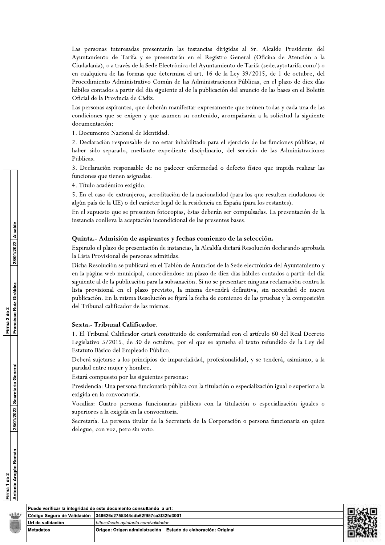Las personas interesadas presentarán las instancias dirigidas al Sr. Alcalde Presidente del Ayuntamiento de Tarifa y se presentarán en el Registro General (Oficina de Atención a la Ciudadania), o a través de la Sede Electrónica del Ayuntamiento de Tarifa (sede.aytotarifa.com/) o en cualquiera de las formas que determina el art. 16 de la Ley 39/2015, de 1 de octubre, del s presentarán las instancias dirigidas al Sr. Alcalde President y se presentarán en el Registro General (Oficina de Atencia la Sede Electrónica del Ayuntamiento de Tarifa (sede.aytotarifa.c.<br>nas que determina el art. 16 de Procedimiento Administrativo Común de las Administraciones Públicas, en el plazo de diez dias hábiles contados a partir del día siguiente al de la publicación del anuncio de las bases en el Boletín Oficial de la Provincia de Cádiz.

Las personas aspirantes, que deberán manifestar expresamente que reúnen todas y cada una de las condiciones que se exigen y que asumen su contenido, acompañarán a la solicitud la siguiente documentación:

1. Documento Nacional de Identidad.

2. Declaración responsable de no estar inhabilitado para el ejercicio de las funciones públicas, ni haber sido separado, mediante expediente disciplinario, del servicio de las Administraciones Públicas.

3. Declaración responsable de no padecer entermedad o defecto físico que impida realizar las tunciones que tienen asignadas.

4. Titulo académico exigido.

5. En el caso de extranjeros, acreditación de la nacionalidad (para los que resulten ciudadanos de algún país de la UE) o del carácter legal de la residencia en España (para los restantes).

En el supuesto que se presenten fotocopias, éstas deberán ser compulsadas. La presentación de la instancia conlleva la aceptación incondicional de las presentes bases.

#### Quinta.- Admisión de aspirantes y fechas comienzo de la selección.

Expirado el plazo de presentación de instancias, la Alcaldía dictará Resolución declarando aprobada la Lista Provisional de personas admitidas.

Dicha Resolución se publicará en el Tablón de Anuncios de la Sede electrónica del Ayuntamiento y en la página web municipal, concediéndose un plazo de diez días hábiles contados a partir del día siguiente al de la publicación para la subsanación. Si no se presentare ninguna reclamación contra la lista provisional en el plazo previsto, la misma devendrá definitiva, sin necesidad de nueva publicación. En la misma Resolución se fijará la fecha de comienzo de las pruebas y la composición del Tribunal calificador de las mismas. incios de la Sede electronica del Ayuntamiento y<br>
azo de diez días hábiles contados a partir del día<br>
si no se presentare ninguna reclamación contra la<br>
a devendrá definitiva, sin necesidad de nueva<br>
cha de comienzo de las 4. Timba académico exigido.<br>
5. Iraq das conservação externações algebras de la mecionista de la presente bale<br>
prime abibige de la reguestrón fotocopias, eles de leirantes presente bale<br>
Francis que presente fotocopias,

#### Sexta.- Tribunal Calificador.

1. El Tribunal Calificador estará constituido de conformidad con el artículo 60 del Real Decreto Legislativo 5/2015, de 30 de octubre, por el que se aprueba el texto refundido de la Ley del Estatuto Básico del Empleado Público.

Deberá sujetarse a los principios de imparcialidad, profesionalidad, y se tenderá, asimismo, a la paridad entre mujer y hombre.

Estará compuesto por las siguientes personas:

Presidencia: Una persona funcionaria pública con la titulación o especialización igual o superior a la exigida en la convocatoria.

Vocalías: Cuatro personas funcionarias públicas con la titulación o especialización iguales o superiores a la exigida en la convocatoria.

Secretaría. La persona titular de la Secretaría de la Corporación o persona funcionaria en quien delegue, con voz, pero sin voto.

| Puede verificar la integridad de este documento consultando la uri: |                                                               |  |
|---------------------------------------------------------------------|---------------------------------------------------------------|--|
| Código Seguro de Validación   349626c2755344cdb62f957ca3f32fd3001   |                                                               |  |
| Url de validación<br>https://sede.avtotarifa.com/validador          |                                                               |  |
| l Metadatos                                                         | Origen: Origen administración Estado de elaboración: Original |  |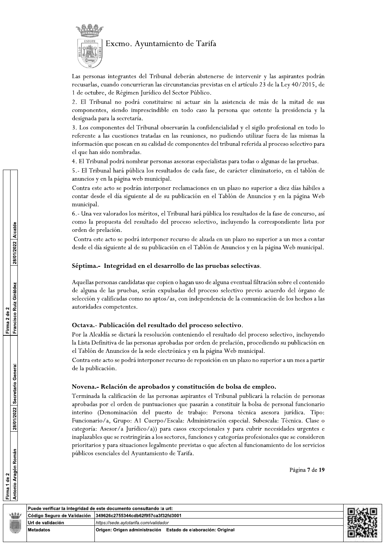

Las personas integrantes del Tribunal deberán abstenerse de intervenir y las aspirantes podrán recusarlas, cuando concurrieran las circunstancias previstas en el artículo 23 de la Ley 40/2015, de 1 de octubre, de Régimen Jurídico del Sector Público.

2. El Tribunal no podrá constituirse ni actuar sin la asistencia de más de la mitad de sus componentes, siendo imprescindible en todo caso la persona que ostente la presidencia y la designada para la secretaría.

3. Los componentes del Tribunal observarán la confidencialidad y el sigilo profesional en todo lo referente a las cuestiones tratadas en las reuniones, no pudiendo utilizar fuera de las mismas la información que posean en su calidad de componentes del tribunal referida al proceso selectivo para el que han sido nombradas.

4. El Tribunal podrá nombrar personas asesoras especialistas para todas o algunas de las pruebas.

5.- El Tribunal hará pública los resultados de cada fase, de carácter eliminatorio, en el tablón de anuncios y en la página web municipal.

Contra este acto se podrán interponer reclamaciones en un plazo no superior a diez días hábiles a contar desde el día siguiente al de su publicación en el Tablón de Anuncios y en la página Web municipal.

6.- Una vez valorados los méritos, el Tribunal hará pública los resultados de la fase de concurso, así como la propuesta del resultado del proceso selectivo, incluyendo la correspondiente lista por orden de prelación.

Contra este acto se podrá interponer recurso de alzada en un plazo no superior a un mes a contar desde el día siguiente al de su publicación en el Tablón de Anuncios y en la página Web municipal.

#### Séptima.- Integridad en el desarrollo de las pruebas selectivas.

Aquellas personas candidatas que copien o hagan uso de alguna eventual filtración sobre el contenido de alguna de las pruebas, serán expulsadas del proceso selectivo previo acuerdo del órgano de selección y calificadas como no aptos/as, con independencia de la comunicación de los hechos a las autoridades competentes.

#### Octava .- Publicación del resultado del proceso selectivo.

Por la Alcaldía se dictará la resolución conteniendo el resultado del proceso selectivo, incluyendo la Lista Definitiva de las personas aprobadas por orden de prelación, procediendo su publicación en el Tablón de Anuncios de la sede electrónica y en la página Web municipal.

Contra este acto se podrá interponer recurso de reposición en un plazo no superior a un mes a partir de la publicación.

#### Novena.- Relación de aprobados y constitución de bolsa de empleo.

Terminada la calificación de las personas aspirantes el Tribunal publicará la relación de personas aprobadas por el orden de puntuaciones que pasarán a constituir la bolsa de personal funcionario interino (Denominación del puesto de trabajo: Persona técnica asesora jurídica. Tipo: Funcionario/a, Grupo: A1 Cuerpo/Escala: Administración especial. Subescala: Técnica. Clase o categoría: Asesor/a Jurídico/a)) para casos excepcionales y para cubrir necesidades urgentes e inaplazables que se restringirán a los sectores, funciones y categorías profesionales que se consideren prioritarios y para situaciones legalmente previstas o que afecten al funcionamiento de los servicios públicos esenciales del Ayuntamiento de Tarifa.

Página 7 de 19



Firma 1 de 2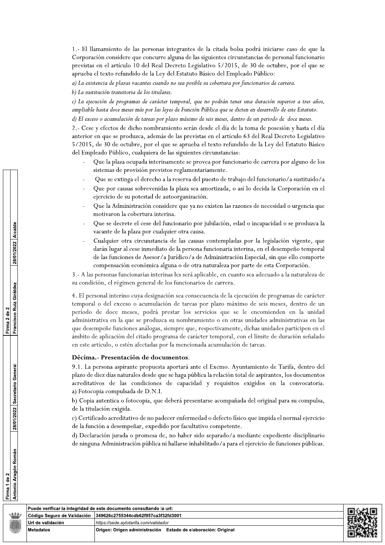1.- El llamamiento de las personas integrantes de la citada bolsa podrá iniciarse caso de que la Corporación considere que concurre alguna de las siguientes circunstancias de personal funcionario previstas en el artículo 10 del Real Decreto Legislativo 5/2015, de 30 de octubre, por el que se aprueba el texto refundido de la Ley del Estatuto Básico del Empleado Público:

a) La existencia de plazas vacantes cuando no sea posible su cobertura por funcionarios de carrera.

b) La sustitución transitoria de los titulares.

c) La ejecución de programas de carácter temporal, que no podrán tener una duración superior a tres años, ampliable hasta doce meses más por las leyes de Función Pública que se dicten en desarrollo de este Estatuto.

d) El exceso o acumulación de tareas por plazo máximo de seis meses, dentro de un periodo de doce meses.

2.- Cese y efectos de dicho nombramiento serán desde el día de la toma de posesión y hasta el día anterior en que se produzca, además de las previstas en el artículo 63 del Real Decreto Legislativo 5/2015, de 30 de octubre, por el que se aprueba el texto refundido de la Ley del Estatuto Básico del Empleado Público, cualquiera de las siguientes circunstancias:

- Que la plaza ocupada interinamente se provea por funcionario de carrera por alguno de los sistemas de provisión previstos reglamentariamente.
- Que se extinga el derecho a la reserva del puesto de trabajo del funcionario/a sustituido/a
- Que por causas sobrevenidas la plaza sea amortizada, o así lo decida la Corporación en el ejercicio de su potestad de autoorganización.
- Que la Administración considere que ya no existen las razones de necesidad o urgencia que motivaron la cobertura interina.
- Que se decrete el cese del funcionario por jubilación, edad o incapacidad o se produzca la vacante de la plaza por cualquier otra causa.
- Cualquier otra circunstancia de las causas contempladas por la legislación vigente, que darán lugar al cese inmediato de la persona funcionaria interina, en el desempeño temporal de las funciones de Asesor/a Jurídico/a de Administración Especial, sin que ello comporte compensación económica alguna o de otra naturaleza por parte de esta Corporación.

3.- A las personas funcionarias interinas les será aplicable, en cuanto sea adecuado a la naturaleza de su condición, el régimen general de los funcionarios de carrera.

4. El personal interino cuya designación sea consecuencia de la ejecución de programas de carácter temporal o del exceso o acumulación de tareas por plazo máximo de seis meses, dentro de un período de doce meses, podrá prestar los servicios que se le encomienden en la unidad administrativa en la que se produzca su nombramiento o en otras unidades administrativas en las que desempeñe funciones análogas, siempre que, respectivamente, dichas unidades participen en el ámbito de aplicación del citado programa de carácter temporal, con el límite de duración señalado en este artículo, o estén afectadas por la mencionada acumulación de tareas.

#### Décima.- Presentación de documentos.

9.1. La persona aspirante propuesta aportará ante el Excmo. Ayuntamiento de Tarifa, dentro del plazo de diez días naturales desde que se haga pública la relación total de aspirantes, los documentos acreditativos de las condiciones de capacidad y requisitos exigidos en la convocatoria. a) Fotocopia compulsada de D.N.I.

b) Copia autentica o fotocopia, que deberá presentarse acompañada del original para su compulsa, de la titulación exigida.

c) Certificado acreditativo de no padecer enfermedad o defecto físico que impida el normal ejercicio de la función a desempeñar, expedido por facultativo competente.

d) Declaración jurada o promesa de, no haber sido separado/a mediante expediente disciplinario de ninguna Administración pública ni hallarse inhabilitado/a para el ejercicio de funciones públicas.

|                             | ∣Puede verificar la integridad de este documento consultando la url: | i da 1-1 |
|-----------------------------|----------------------------------------------------------------------|----------|
| Código Seguro de Validación | 349626c2755344cdb62f957ca3f32fd3001                                  |          |
| l Url de validación         | https://sede.avtotarifa.com/validador                                |          |
| Metadatos                   | Origen: Origen administración Estado de elaboración: Original        |          |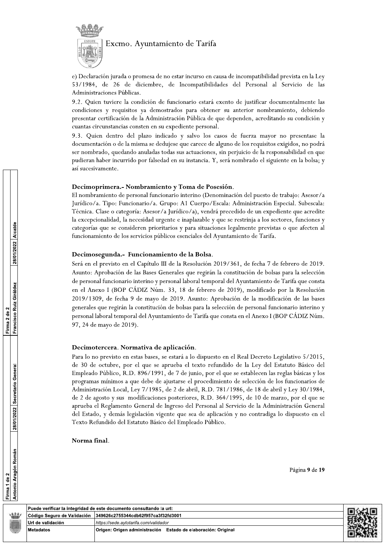

e) Declaración jurada o promesa de no estar incurso en causa de incompatibilidad prevista en la Ley 53/1984, de 26 de diciembre, de Incompatibilidades del Personal al Servicio de las Administraciones Públicas.

9.2. Quien tuviere la condición de funcionario estará exento de justificar documentalmente las condiciones y requisitos ya demostrados para obtener su anterior nombramiento, debiendo presentar certificación de la Administración Pública de que dependen, acreditando su condición y cuantas circunstancias consten en su expediente personal.

9.3. Quien dentro del plazo indicado y salvo los casos de fuerza mayor no presentase la documentación o de la misma se dedujese que carece de alguno de los requisitos exigidos, no podrá ser nombrado, quedando anuladas todas sus actuaciones, sin perjuicio de la responsabilidad en que pudieran haber incurrido por falsedad en su instancia. Y, será nombrado el siguiente en la bolsa; y así sucesivamente.

#### Decimoprimera.- Nombramiento y Toma de Posesión.

El nombramiento de personal funcionario interino (Denominación del puesto de trabajo: Asesor/a Jurídico/a. Tipo: Funcionario/a. Grupo: A1 Cuerpo/Escala: Administración Especial. Subescala: Técnica. Clase o categoría: Asesor/a Jurídico/a), vendrá precedido de un expediente que acredite la excepcionalidad, la necesidad urgente e inaplazable y que se restrinja a los sectores, funciones y categorías que se consideren prioritarios y para situaciones legalmente previstas o que afecten al funcionamiento de los servicios públicos esenciales del Ayuntamiento de Tarifa.

# Decimosegunda.- Funcionamiento de la Bolsa.

Será en el previsto en el Capítulo III de la Resolución 2019/361, de fecha 7 de febrero de 2019. Asunto: Aprobación de las Bases Generales que regirán la constitución de bolsas para la selección de personal funcionario interino y personal laboral temporal del Ayuntamiento de Tarifa que consta en el Anexo I (BOP CÁDIZ Núm. 33, 18 de febrero de 2019), modificado por la Resolución 2019/1309, de fecha 9 de mayo de 2019. Asunto: Aprobación de la modificación de las bases generales que regirán la constitución de bolsas para la selección de personal funcionario interino y personal laboral temporal del Ayuntamiento de Tarifa que consta en el Anexo I (BOP CÁDIZ Núm. 97, 24 de mayo de 2019).

#### Decimotercera. Normativa de aplicación.

Para lo no previsto en estas bases, se estará a lo dispuesto en el Real Decreto Legislativo 5/2015, de 30 de octubre, por el que se aprueba el texto refundido de la Ley del Estatuto Básico del Empleado Público, R.D. 896/1991, de 7 de junio, por el que se establecen las reglas básicas y los programas mínimos a que debe de ajustarse el procedimiento de selección de los funcionarios de Administración Local, Ley 7/1985, de 2 de abril, R.D. 781/1986, de 18 de abril y Ley 30/1984, de 2 de agosto y sus modificaciones posteriores, R.D. 364/1995, de 10 de marzo, por el que se aprueba el Reglamento General de Ingreso del Personal al Servicio de la Administración General del Estado, y demás legislación vigente que sea de aplicación y no contradiga lo dispuesto en el Texto Refundido del Estatuto Básico del Empleado Público.

#### Norma final.

Francisco Ruiz Giráldez Firma 2 de 2 28/01/2022 Secretario General Antonio Aragón Román Firma 1 de 2

28/01/2022 Alcalde



| Página 9 de 19 |  |  |
|----------------|--|--|
|                |  |  |

Puede verificar la integridad de este documento consultando la url: Código Seguro de Validación 349626c2755344cdb62f957ca3f32fd3001 Url de validación //sede.aytotarifa.com/validado **Metadatos** Origen: Origen administración Estado de elaboración: Original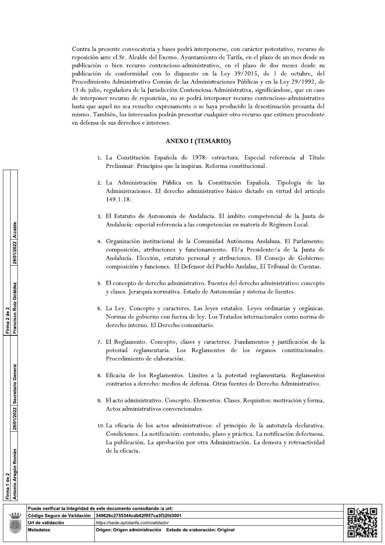Contra la presente convocatoria y bases podrá interponerse, con carácter potestativo, recurso de reposición ante el Sr. Alcalde del Excmo. Ayuntamiento de Tarifa, en el plazo de un mes desde su publicación o bien recurso contencioso-administrativo, en el plazo de dos meses desde su publicación de conformidad con lo dispuesto en Contra la presente convocatoria y bases podrá interponerse, con carácter potestativo, recurso de reposición ante el Sr. Alcalde del Exerno. Ayuntamiento de Tarífa, en el plazo de un mes desde su publicación o bien recurso to Administrativo Común de las Administraciones Públicas y en la Ley 29/1992, de asses podrá interponerse, con carácter potestativo, recu<br>
cemo. Ayuntamiento de Tarifa, en el plazo de un mes de<br>
cioso-administrativo, en el plazo de dos meses des<br>
lo dispuesto en la Ley 39/2015, de 1 de octubre<br>
ún de l 13 de julio, reguladora de la Jurisdicción Contenciosa-Administrativa, significándose, que en caso de interponer recurso de reposición, no se podrá interponer recurso contencioso-administrativo hasta que aquel no sea resuelto expresamente o se haya producido la desestimación presunta del mismo. También, los interesados podrán presentar cualquier otro recurso que estimen procedente en defensa de sus derechos e intereses. de interponer recurso de reposición, no se podrá interponer recurso contencioso-administrativo<br>hasta que aquel no sea resuelto expresamente o se haya producido la desestimación presunta del<br>mismo. También, los interesados de interponer recurso de reposición, no se podrá in<br>hasta que aquel no sea resuelto expresamente o se h<br>mismo. También, los interesados podrán presentar cu<br>en defensa de sus derechos e intereses.<br>**ANEXO I (TEA**<br>1. La Const

#### ANEXO I (TEMARIO)

- 1. La Constitución Española de 1978: estructura. Especial referenci cipios que la inspiran. Reforma constitucional.
- 2. La Administración Pública en la Constitución Española. Tipología de las 1 ambien, los interesados podran presentar cualquier of<br>
1 ambien, los intereses.<br>
ANEXO I (TEMARIO)<br>
1. La Constitución Española de 1978: estructural Preliminar. Principios que la inspiran. Reforma co<br>
2. La Administració Administraciones. El derecho administrativo básico dictado en virtud del artículo 149.1.18.
	- 3. El Estatuto de Autonomía de Andalucía. El ámbito competencial de la Junta de Andalucía: especial referencia a las competencias en materia de Régimen Local.
	- 4. Organización institucional de la Comunidad Autónoma Andaluza. El Parlamento: titución Española. Tipología de las<br>
	básico dictado en virtud del artículo<br>
	il ámbito competencial de la Junta de<br>
	cias en materia de Régimen Local.<br>
	d<br>
	Autónoma Andaluza. El Parlamento:<br>
	co. El/a Presidente/a de la Junta composición, atribuciones y funcionamiento. El/a Presidente/a de la Junta de ica en la Constitución Española. Tipología de<br>cho administrativo básico dictado en virtud del artícu<br>a de Andalucía. El ámbito competencial de la Junta<br>cia a las competencias en materia de Régimen Local.<br>de la Comunidad Au Andalucía. Elección, estatuto personal y atribuciones. El Consejo de Gobierno: composición y funciones. El Defensor del Pueblo Andaluz, El Tribunal de Cuentas. Autonomía de Andalucía. El ámbito competencial e<br>
	ecial referencia a las competencias en materia de Régime<br>
	nstitucional de la Comunidad Autónoma Andaluza. E<br>
	atribuciones y funcionamiento. El/a Presidente/a d<br>
	eción, esta
	- 5. El concepto de derecho administrativo. Fuentes del derecho administrativo: concepto y clases. Jerarquía normativa. Estado de Autonomías y sistema de fuentes.
	- 6. La Ley. Concepto y caracteres. Las leyes estatales. Leyes ordinarias y orgánicas. Normas de gobierno con fuerza de ley. Los Tratados internacionales como norma de derecho interno. El Derecho comunitario.
- 7. El Reglamento. Concepto, clases y caracteres. Fundamentos y justificación de la potestad reglamentaria. Los Reglamentos de los órganos constitucionales. v clases. Jerarquía normativa. Estado de Autonomías y sistema de fuentes.<br>
6. La Ley. Concepto y caracteres. Las leyes estatales. Leyes ordinarias y orgánicas.<br>
Normas de gobierno con fuerza de ley. Los Tratados internacio Procedimiento de elaboración.  $\mathcal{L}_{\mathcal{A}}$ 
	- 8. Eficacia de los Reglamentos. Límites a la potestad reglamentaria. Reglamentos contrarios a derecho: medios de defensa. Otras fuentes de Derecho Administrativo.
	- 9. El acto administrativo. Concepto. Elementos. Clases. Requisitos: motivación y forma. Actos administrativos convencionales.  $\mathcal{L}_{\mathcal{A}}$
	- 10. La eficacia de los actos administrativos: el principio de la autotutela declarativa. Condiciones. La notificación: contenido, plazo y práctica. La notificación defectuosa. La publicación. La aprobación por otra Administración. La demora y retroactividad de la eficacia.

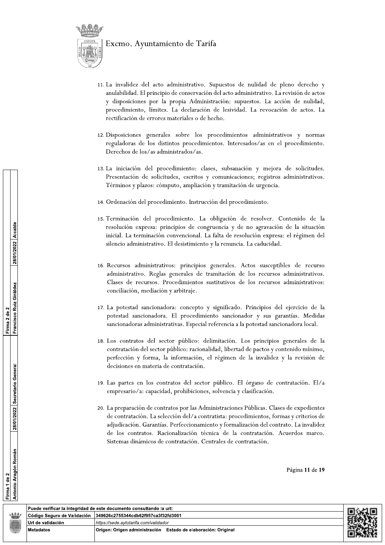



- 11. La invalidez del acto administrativo. Supuestos de nulidad de pleno derecho y anulabilidad. El principio de conservación del acto administrativo. La revisión de actos y disposiciones por la propia Administración: supuestos. La acción de nulidad, procedimiento, límites. La declaración de lesividad. La revocación de actos. La rectificación de errores materiales o de hecho.
- 12. Disposiciones generales sobre los procedimientos administrativos y normas reguladoras de los distintos procedimientos. Interesados/as en el procedimiento. Derechos de los/as administrados/as.
- 13. La iniciación del procedimiento: clases, subsanación y mejora de solicitudes. Presentación de solicitudes, escritos y comunicaciones; registros administrativos. Términos y plazos: cómputo, ampliación y tramitación de urgencia.
- 14. Ordenación del procedimiento. Instrucción del procedimiento.
- 15. Terminación del procedimiento. La obligación de resolver. Contenido de la resolución expresa: principios de congruencia y de no agravación de la situación inicial. La terminación convencional. La falta de resolución expresa: el régimen del silencio administrativo. El desistimiento y la renuncia. La caducidad.
- 16. Recursos administrativos: principios generales. Actos susceptibles de recurso administrativo. Reglas generales de tramitación de los recursos administrativos. Clases de recursos. Procedimientos sustitutivos de los recursos administrativos: conciliación, mediación y arbitraje.
- 17. La potestad sancionadora: concepto y significado. Principios del ejercicio de la potestad sancionadora. El procedimiento sancionador y sus garantías. Medidas sancionadoras administrativas. Especial referencia a la potestad sancionadora local.
- 18. Los contratos del sector público: delimitación. Los principios generales de la contratación del sector público: racionalidad, libertad de pactos y contenido mínimo, perfección y forma, la información, el régimen de la invalidez y la revisión de decisiones en materia de contratación.
- 19. Las partes en los contratos del sector público. El órgano de contratación. El/a empresario/a: capacidad, prohibiciones, solvencia y clasificación.
- 20. La preparación de contratos por las Administraciones Públicas. Clases de expedientes de contratación. La selección del/a contratista: procedimientos, formas y criterios de adjudicación. Garantías. Perfeccionamiento y formalización del contrato. La invalidez de los contratos. Racionalización técnica de la contratación. Acuerdos marco. Sistemas dinámicos de contratación. Centrales de contratación.

Página 11 de 19



Código Seguro de Validación

Url de validación

**Metadatos**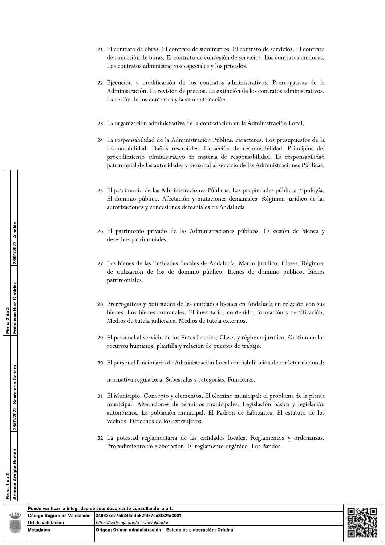- 21. El contrato de obras. El contrato de suministros. El contrato de servicios. El contrato de concesión de obras. El contrato de concesión de servicios. Los contratos menores. Los contratos administrativos especiales y los privados.
- 22. Ejecución y modificación de los contratos administrativos. Prerrogativas de la Administración. La revisión de precios. La extinción de los contratos administrativos. La cesión de los contratos y la subcontratación.
- 23. La organización administrativa de la contratación en la Administración Local.
- 24. La responsabilidad de la Administración Pública: caracteres. Los presupuestos de la responsabilidad. Daños resarcibles. La acción de responsabilidad. Principios del procedimiento administrativo en materia de responsabilidad. La responsabilidad patrimonial de las autoridades y personal al servicio de las Administraciones Públicas.
- 25. El patrimonio de las Administraciones Públicas. Las propiedades públicas: tipología. El dominio público. Afectación y mutaciones demaniales- Régimen jurídico de las autorizaciones y concesiones demaniales en Andalucía.
- 26. El patrimonio privado de las Administraciones públicas. La cesión de bienes y derechos patrimoniales.
- 27. Los bienes de las Entidades Locales de Andalucía. Marco jurídico. Clases. Régimen de utilización de los de dominio público. Bienes de dominio público. Bienes patrimoniales.
- 28. Prerrogativas y potestades de las entidades locales en Andalucía en relación con sus bienes. Los bienes comunales. El inventario: contenido, formación y rectificación. Medios de tutela judiciales. Medios de tutela externos.
- 29. El personal al servicio de los Entes Locales. Clases y régimen jurídico. Gestión de los recursos humanos: plantilla y relación de puestos de trabajo.
- 30. El personal funcionario de Administración Local con habilitación de carácter nacional:

normativa reguladora. Subescalas y categorías. Funciones.

- 31. El Municipio: Concepto y elementos. El término municipal: el problema de la planta municipal. Alteraciones de términos municipales. Legislación básica y legislación autonómica. La población municipal. El Padrón de habitantes. El estatuto de los vecinos. Derechos de los extranjeros.
- 32. La potestad reglamentaria de las entidades locales. Reglamentos y ordenanzas. Procedimiento de elaboración. El reglamento orgánico. Los Bandos.

Antonio Aragón Román | 28/01/2022 | Secretario General

Francisco Ruiz Giráldez | 28/01/2022 | Alcalde

Firma 2 de 2

| Puede verificar la integridad de este documento consultando la url: |                                                                         |  |  |  |
|---------------------------------------------------------------------|-------------------------------------------------------------------------|--|--|--|
|                                                                     | Código Seguro de Validación   349626c2755344cdb62f957ca3f32fd3001       |  |  |  |
| ∣Url de validación                                                  | https://sede.avtotarifa.com/validador                                   |  |  |  |
| Metadatos                                                           | <b>Origen: Origen administración</b><br>Estado de elaboración: Original |  |  |  |
|                                                                     |                                                                         |  |  |  |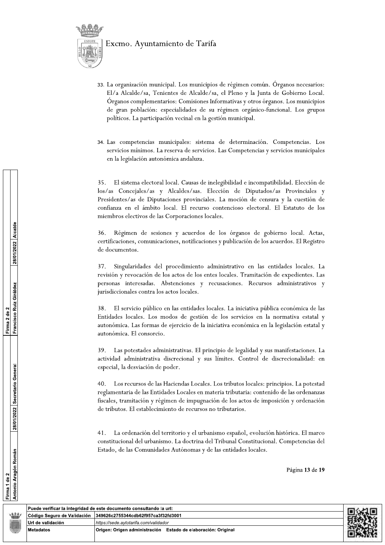



- 33. La organización municipal. Los municipios de régimen común. Órganos necesarios: El/a Alcalde/sa, Tenientes de Alcalde/sa, el Pleno y la Junta de Gobierno Local. Organos complementarios: Comisiones Informativas y otros órganos. Los municipios de gran población: especialidades de su régimen orgánico-funcional. Los grupos políticos. La participación vecinal en la gestión municipal.
- 34. Las competencias municipales: sistema de determinación. Competencias. Los servicios mínimos. La reserva de servicios. Las Competencias y servicios municipales en la legislación autonómica andaluza.

35. El sistema electoral local. Causas de inelegibilidad e incompatibilidad. Elección de los/as Concejales/as y Alcaldes/sas. Elección de Diputados/as Provinciales y Presidentes/as de Diputaciones provinciales. La moción de censura y la cuestión de confianza en el ámbito local. El recurso contencioso electoral. El Estatuto de los miembros electivos de las Corporaciones locales.

Régimen de sesiones y acuerdos de los órganos de gobierno local. Actas, 36. certificaciones, comunicaciones, notificaciones y publicación de los acuerdos. El Registro de documentos.

37. Singularidades del procedimiento administrativo en las entidades locales. La revisión y revocación de los actos de los entes locales. Tramitación de expedientes. Las personas interesadas. Abstenciones y recusaciones. Recursos administrativos y jurisdiccionales contra los actos locales.

38. El servicio público en las entidades locales. La iniciativa pública económica de las Entidades locales. Los modos de gestión de los servicios en la normativa estatal y autonómica. Las formas de ejercicio de la iniciativa económica en la legislación estatal y autonómica. El consorcio.

39. Las potestades administrativas. El principio de legalidad y sus manifestaciones. La actividad administrativa discrecional y sus límites. Control de discrecionalidad: en especial, la desviación de poder.

 $40<sup>°</sup>$ Los recursos de las Haciendas Locales. Los tributos locales: principios. La potestad reglamentaria de las Entidades Locales en materia tributaria: contenido de las ordenanzas fiscales, tramitación y régimen de impugnación de los actos de imposición y ordenación de tributos. El establecimiento de recursos no tributarios.

41. La ordenación del territorio y el urbanismo español, evolución histórica. El marco constitucional del urbanismo. La doctrina del Tribunal Constitucional. Competencias del Estado, de las Comunidades Autónomas y de las entidades locales.

Página 13 de 19

Código Seguro de Validación

Url de validación

**Metadatos** 

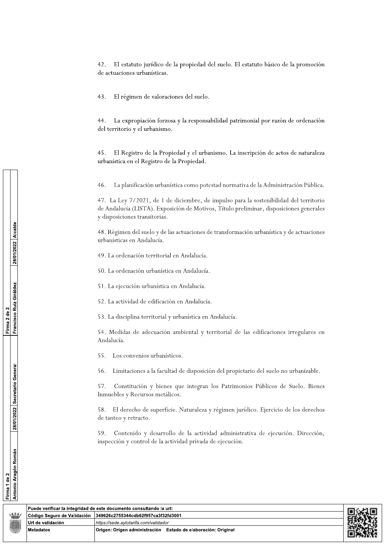El estatuto jurídico de la propiedad del suelo. El estatuto básico de la promoción 42. de actuaciones urbanísticas.

43. El régimen de valoraciones del suelo.

La expropiación forzosa y la responsabilidad patrimonial por razón de ordenación 44. del territorio y el urbanismo.

45. El Registro de la Propiedad y el urbanismo. La inscripción de actos de naturaleza urbanística en el Registro de la Propiedad.

46. La planificación urbanística como potestad normativa de la Administración Pública.

47. La Ley 7/2021, de 1 de diciembre, de impulso para la sostenibilidad del territorio de Andalucía (LISTA). Exposición de Motivos, Título preliminar, disposiciones generales y disposiciones transitorias.

48. Régimen del suelo y de las actuaciones de transformación urbanística y de actuaciones urbanísticas en Andalucía.

49. La ordenación territorial en Andalucía.

50. La ordenación urbanística en Andalucía.

51. La ejecución urbanística en Andalucía.

52. La actividad de edificación en Andalucía.

53. La disciplina territorial y urbanística en Andalucía.

54. Medidas de adecuación ambiental y territorial de las edificaciones irregulares en Andalucía.

55. Los convenios urbanísticos.

56. Limitaciones a la facultad de disposición del propietario del suelo no urbanizable.

57. Constitución y bienes que integran los Patrimonios Públicos de Suelo. Bienes Inmuebles y Recursos metálicos.

58. El derecho de superficie. Naturaleza y régimen jurídico. Ejercicio de los derechos de tanteo y retracto.

Contenido y desarrollo de la actividad administrativa de ejecución. Dirección, 59. inspección y control de la actividad privada de ejecución.

|                    | Puede verificar la integridad de este documento consultando la url: |  |
|--------------------|---------------------------------------------------------------------|--|
|                    |                                                                     |  |
| ∣Url de validación | https://sede.avtotarifa.com/validador                               |  |
| <b>Metadatos</b>   | Origen: Origen administración Estado de elaboración: Original       |  |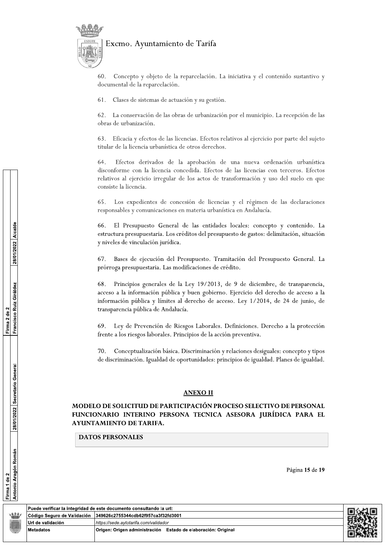

60. – Concepto y objeto de la reparcelación. La iniciativa y el contenido sustantivo y la contenida de la reparcelación. La iniciativa y el contenido sustantivo y la contenidad de la reparcelación de la contenidad de la co ntamiento de Tarifa<br>
bbjeto de la reparcelación. La iniciativa y el contenido<br>
parcelación.<br>
emas de actuación y su gestión.<br>
cón de las obras de urbanización por el municipio. La rec<br>
cón.<br>
tos de las licencias. Efectos r documental de la reparcelación.

61. Clases de sistemas de actuación y su gestión.

onservación de las obras de urbanización por el municipio. La recepción de las obras de urbanización.

63. Eficacia y efectos de las licencias. Efectos relativos al ejercicio por parte del sujeto titular de la licencia urbanística de otros derechos.

France (1993)<br>
(1993)<br>
(1993)<br>
(1993)<br>
(1993)<br>
(1993)<br>
(1993)<br>
(1993)<br>
(1993)<br>
(1993)<br>
(1993)<br>
(1993)<br>
(1994)<br>
(1994)<br>
(1994)<br>
(1994)<br>
(1994)<br>
(1994)<br>
(1994)<br>
(1994)<br>
(1994)<br>
(1994)<br>
(1994)<br>
(1994)<br>
(1994)<br>
(1994)<br>
(1994)<br> ción. La iniciativa y el contenido sustantivo y<br>gestión.<br>anización por el municipio. La recepción de las<br>fectos relativos al ejercicio por parte del sujeto<br>lerechos.<br>ción de una nueva ordenación urbanística<br>Efectos de las 1-)
()%"#-&  ( -& # /)
 disconforme con la licencia concedida. Efectos de las licencias con terceros. Efectos relativos al ejercicio irregular de los actos de transformación y uso del suelo en que consiste la licencia 63. Eficacia y efectos de las licercitular de la licencia urbanística de<br>64. Efectos derivados de la<br>disconforme con la licencia conc<br>relativos al ejercicio irregular de<br>consiste la licencia.<br>65. Los expedientes de conce:<br> 64. Efectos derivados de la aprobación de una nueva ordenación urbanística<br>disconforme con la licencia concedida. Efectos de las licencias con terceros. Efectos<br>relativos al ejercicio irregular de los actos de transformaci

disconforme con la licencia concedida. Efectos de la<br>relativos al ejercicio irregular de los actos de transfe<br>consiste la licencia.<br>65. Los expedientes de concesión de licencias y<br>responsables y comunicaciones en materia u 65. Los expedientes de concesión de licencias y el régimen de las declaraciones<br>responsables y comunicaciones en materia urbanística en Andalucía.<br>66. El Presupuesto General de las entidades locales: concepto y contenido. 68. Principios generales de la Ley 19/2013, de 9 de diciembre, de transparencia, El Presupuesto General de las entidades locales: contura presupuestaria. Los créditos del presupuesto de gasto<br>les de vinculación jurídica.<br>Bases de ejecución del Presupuesto. Tramitación del F<br>ga presupuestaria. Las modif acceso a la información pública y buen gobierno. Ejercicio del derecho de acceso a la información pública y limites al derecho de acceso. Ley 1/2014, de 24 de junio, de Los créditos del presupuesto de gastos: delimitación, situa<br>
idica.<br>
del Presupuesto. Tramitación del Presupuesto General<br>
as modificaciones de crédito.<br>
de la Ley 19/2013, de 9 de diciembre, de transpare<br>
ública y buen go transparencia pública de Andalucía. 67. Bases de ejecución del Pre<br>prórroga presupuestaria. Las modios prórroga presupuestaria. Las modios de la acceso a la información pública y límites al transparencia pública de Andalucía (69. Ley de Prevención de Ries f ss de ejecución del Presupuesto. Tramitación del Presupuestaria. Las modificaciones de crédito.<br>
ocipios generales de la Ley 19/2013, de 9 de diciem<br>
1 información pública y buen gobierno. Ejercicio del compública y límite

# **ANEXO II**

# MODELO DE SOLICITUD DE PARTICIPACIÓN PROCESO SELECTIVO DE PERSONAL FUNCIONARIO INTERINO PERSONA TECNICA ASESORA JURÍDICA PARA EL AYUNTAMIENTO DE TARIFA.

| 69. Ley de Prevención de Riesgos Laborales. Definiciones. Derecho a la protección<br>frente a los riesgos laborales. Principios de la acción preventiva.<br>Conceptualización básica. Discriminación y relaciones desiguales: concepto y tipos<br>70.<br>de discriminación. Igualdad de oportunidades: principios de igualdad. Planes de igualdad.<br>28/01/2022 Secretario General<br><b>ANEXO II</b><br>MODELO DE SOLICITUD DE PARTICIPACIÓN PROCESO SELECTIVO DE PERSONAL<br>FUNCIONARIO INTERINO PERSONA TECNICA ASESORA JURÍDICA PARA EL<br>AYUNTAMIENTO DE TARIFA.<br><b>DATOS PERSONALES</b><br>ón Román<br>Página 15 de 19<br><b>Antonio Arag</b><br>Firma 1 de 2 | 28/01/2022 Alcalde<br>Francisco Ruiz Giráldez | 67. Bases de ejecución del Presupuesto. Tramitación del Presupuesto General. La<br>prórroga presupuestaria. Las modificaciones de crédito.<br>68. Principios generales de la Ley 19/2013, de 9 de diciembre, de transparencia,<br>acceso a la información pública y buen gobierno. Ejercicio del derecho de acceso a la<br>información pública y límites al derecho de acceso. Ley 1/2014, de 24 de junio, de<br>transparencia pública de Andalucía. |  |
|---------------------------------------------------------------------------------------------------------------------------------------------------------------------------------------------------------------------------------------------------------------------------------------------------------------------------------------------------------------------------------------------------------------------------------------------------------------------------------------------------------------------------------------------------------------------------------------------------------------------------------------------------------------------------|-----------------------------------------------|------------------------------------------------------------------------------------------------------------------------------------------------------------------------------------------------------------------------------------------------------------------------------------------------------------------------------------------------------------------------------------------------------------------------------------------------------|--|
|                                                                                                                                                                                                                                                                                                                                                                                                                                                                                                                                                                                                                                                                           | Firma 2 de 2                                  |                                                                                                                                                                                                                                                                                                                                                                                                                                                      |  |
|                                                                                                                                                                                                                                                                                                                                                                                                                                                                                                                                                                                                                                                                           |                                               |                                                                                                                                                                                                                                                                                                                                                                                                                                                      |  |
|                                                                                                                                                                                                                                                                                                                                                                                                                                                                                                                                                                                                                                                                           |                                               |                                                                                                                                                                                                                                                                                                                                                                                                                                                      |  |
| Puede verificar la integridad de este documento consultando la url:<br>عثنه<br>Código Seguro de Validación<br>349626c2755344cdb62f957ca3f32fd3001                                                                                                                                                                                                                                                                                                                                                                                                                                                                                                                         |                                               |                                                                                                                                                                                                                                                                                                                                                                                                                                                      |  |
| Url de validación<br>https://sede.aytotarifa.com/validador                                                                                                                                                                                                                                                                                                                                                                                                                                                                                                                                                                                                                |                                               |                                                                                                                                                                                                                                                                                                                                                                                                                                                      |  |
| Origen: Origen administración Estado de elaboración: Original<br>Metadatos                                                                                                                                                                                                                                                                                                                                                                                                                                                                                                                                                                                                |                                               |                                                                                                                                                                                                                                                                                                                                                                                                                                                      |  |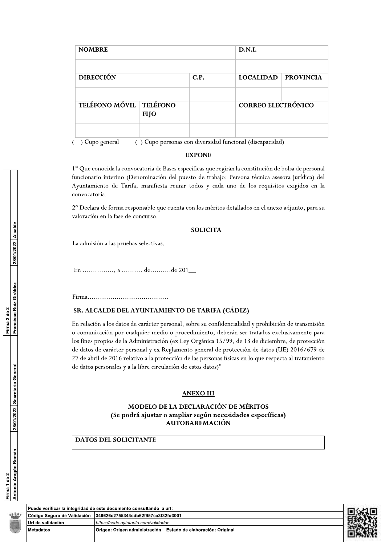| <b>NOMBRE</b>                  |             |      | D.N.I.                    |                  |  |
|--------------------------------|-------------|------|---------------------------|------------------|--|
|                                |             |      |                           |                  |  |
| <b>DIRECCIÓN</b>               |             | C.P. | <b>LOCALIDAD</b>          | <b>PROVINCIA</b> |  |
|                                |             |      |                           |                  |  |
| <b>TELÉFONO MÓVIL TELÉFONO</b> | <b>FIJO</b> |      | <b>CORREO ELECTRÓNICO</b> |                  |  |
|                                |             |      |                           |                  |  |

) Cupo general () Cupo personas con diversidad funcional (discapacidad)

#### **EXPONE**

1º Que conocida la convocatoria de Bases específicas que regirán la constitución de bolsa de personal funcionario interino (Denominación del puesto de trabajo: Persona técnica asesora jurídica) del Ayuntamiento de Tarifa, manifiesta reunir todos y cada uno de los requisitos exigidos en la convocatoria.

2º Declara de forma responsable que cuenta con los méritos detallados en el anexo adjunto, para su valoración en la fase de concurso.

#### **SOLICITA**

La admisión a las pruebas selectivas.

En ..............., a ........... de..........de 201\_

#### SR. ALCALDE DEL AYUNTAMIENTO DE TARIFA (CÁDIZ)

En relación a los datos de carácter personal, sobre su confidencialidad y prohibición de transmisión o comunicación por cualquier medio o procedimiento, deberán ser tratados exclusivamente para los fines propios de la Administración (ex Ley Orgánica 15/99, de 13 de diciembre, de protección de datos de carácter personal y ex Reglamento general de protección de datos (UE) 2016/679 de 27 de abril de 2016 relativo a la protección de las personas físicas en lo que respecta al tratamiento de datos personales y a la libre circulación de estos datos)"

#### **ANEXO III**

## MODELO DE LA DECLARACIÓN DE MÉRITOS (Se podrá ajustar o ampliar según necesidades específicas) **AUTOBAREMACIÓN**

# **DATOS DEL SOLICITANTE**

| ٠ |  |  |
|---|--|--|
|   |  |  |
|   |  |  |

|                                                            | Puede verificar la integridad de este documento consultando la url: |  |
|------------------------------------------------------------|---------------------------------------------------------------------|--|
|                                                            | Código Seguro de Validación   349626c2755344cdb62f957ca3f32fd3001   |  |
| Url de validación<br>https://sede.avtotarifa.com/validador |                                                                     |  |
| <b>Metadatos</b>                                           | Origen: Origen administración Estado de elaboración: Original       |  |

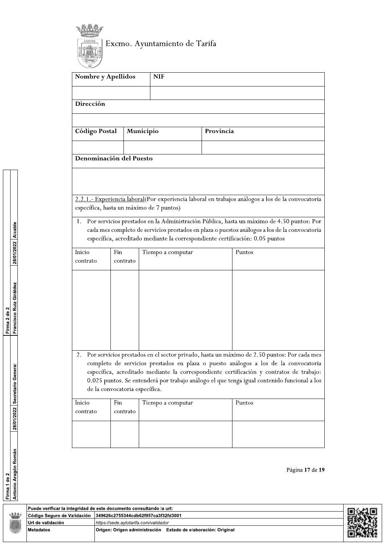

| <b>Nombre y Apellidos</b>                                                                                                                                                                                                                                                                                                                                                                                            |                 |           | <b>NIF</b>        |           |                                                                                                   |  |
|----------------------------------------------------------------------------------------------------------------------------------------------------------------------------------------------------------------------------------------------------------------------------------------------------------------------------------------------------------------------------------------------------------------------|-----------------|-----------|-------------------|-----------|---------------------------------------------------------------------------------------------------|--|
|                                                                                                                                                                                                                                                                                                                                                                                                                      |                 |           |                   |           |                                                                                                   |  |
| Dirección                                                                                                                                                                                                                                                                                                                                                                                                            |                 |           |                   |           |                                                                                                   |  |
|                                                                                                                                                                                                                                                                                                                                                                                                                      |                 |           |                   |           |                                                                                                   |  |
| Código Postal                                                                                                                                                                                                                                                                                                                                                                                                        |                 | Municipio |                   | Provincia |                                                                                                   |  |
|                                                                                                                                                                                                                                                                                                                                                                                                                      |                 |           |                   |           |                                                                                                   |  |
| Denominación del Puesto                                                                                                                                                                                                                                                                                                                                                                                              |                 |           |                   |           |                                                                                                   |  |
|                                                                                                                                                                                                                                                                                                                                                                                                                      |                 |           |                   |           |                                                                                                   |  |
|                                                                                                                                                                                                                                                                                                                                                                                                                      |                 |           |                   |           |                                                                                                   |  |
| específica, hasta un máximo de 7 puntos)                                                                                                                                                                                                                                                                                                                                                                             |                 |           |                   |           | 2.2.1.- Experiencia laboral(Por experiencia laboral en trabajos análogos a los de la convocatoria |  |
| Por servicios prestados en la Administración Pública, hasta un máximo de 4.50 puntos: Por<br>1.<br>cada mes completo de servicios prestados en plaza o puestos análogos a los de la convocatoria<br>específica, acreditado mediante la correspondiente certificación: 0.05 puntos                                                                                                                                    |                 |           |                   |           |                                                                                                   |  |
| Inicio<br>contrato                                                                                                                                                                                                                                                                                                                                                                                                   | Fin<br>contrato |           | Tiempo a computar |           | Puntos                                                                                            |  |
|                                                                                                                                                                                                                                                                                                                                                                                                                      |                 |           |                   |           |                                                                                                   |  |
|                                                                                                                                                                                                                                                                                                                                                                                                                      |                 |           |                   |           |                                                                                                   |  |
| Por servicios prestados en el sector privado, hasta un máximo de 2.50 puntos: Por cada mes<br>2.<br>completo de servicios prestados en plaza o puesto análogos a los de la convocatoria<br>específica, acreditado mediante la correspondiente certificación y contratos de trabajo:<br>0.025 puntos. Se entenderá por trabajo análogo el que tenga igual contenido funcional a los<br>de la convocatoria específica. |                 |           |                   |           |                                                                                                   |  |
| Inicio<br>contrato                                                                                                                                                                                                                                                                                                                                                                                                   | Fin<br>contrato |           | Tiempo a computar |           | Puntos                                                                                            |  |
|                                                                                                                                                                                                                                                                                                                                                                                                                      |                 |           |                   |           |                                                                                                   |  |

Página 17 de 19



28/01/2022 Alcalde Francisco Ruiz Giráldez Firma 2 de 2 28/01/2022 Secretario General <mark>Firma 1 de 2</mark><br>Antonio Aragón Román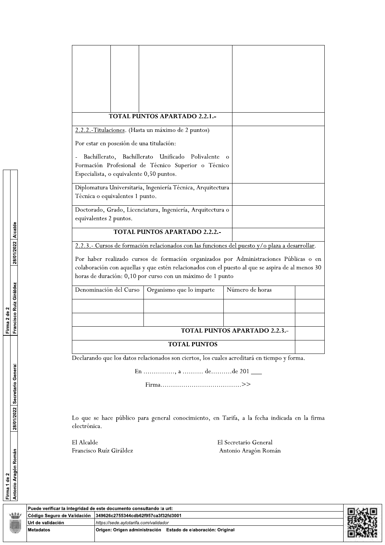|                                                    | <b>TOTAL PUNTOS APARTADO 2.2.1.-</b>                                                                                                                                                                                                                     |                               |  |
|----------------------------------------------------|----------------------------------------------------------------------------------------------------------------------------------------------------------------------------------------------------------------------------------------------------------|-------------------------------|--|
|                                                    |                                                                                                                                                                                                                                                          |                               |  |
| 2.2.2.-Titulaciones. (Hasta un máximo de 2 puntos) |                                                                                                                                                                                                                                                          |                               |  |
| Por estar en posesión de una titulación:           |                                                                                                                                                                                                                                                          |                               |  |
| Bachillerato,<br>Bachillerato                      | Unificado<br>Polivalente<br>Formación Profesional de Técnico Superior o Técnico                                                                                                                                                                          |                               |  |
| Especialista, o equivalente 0,50 puntos.           |                                                                                                                                                                                                                                                          |                               |  |
| Técnica o equivalentes 1 punto.                    | Diplomatura Universitaria, Ingeniería Técnica, Arquitectura                                                                                                                                                                                              |                               |  |
| equivalentes 2 puntos.                             | Doctorado, Grado, Licenciatura, Ingeniería, Arquitectura o                                                                                                                                                                                               |                               |  |
|                                                    | <b>TOTAL PUNTOS APARTADO 2.2.2.-</b>                                                                                                                                                                                                                     |                               |  |
|                                                    | 2.2.3.- Cursos de formación relacionados con las funciones del puesto y/o plaza a desarrollar.                                                                                                                                                           |                               |  |
|                                                    | Por haber realizado cursos de formación organizados por Administraciones Públicas o en<br>colaboración con aquellas y que estén relacionados con el puesto al que se aspira de al menos 30<br>horas de duración: 0,10 por curso con un máximo de 1 punto |                               |  |
| Denominación del Curso                             | Organismo que lo imparte                                                                                                                                                                                                                                 | Número de horas               |  |
|                                                    |                                                                                                                                                                                                                                                          |                               |  |
|                                                    |                                                                                                                                                                                                                                                          |                               |  |
|                                                    |                                                                                                                                                                                                                                                          | TOTAL PUNTOS APARTADO 2.2.3.- |  |
|                                                    | <b>TOTAL PUNTOS</b>                                                                                                                                                                                                                                      |                               |  |
|                                                    | Declarando que los datos relacionados son ciertos, los cuales acreditará en tiempo y forma.                                                                                                                                                              |                               |  |
|                                                    | En , a  dede 201 ____                                                                                                                                                                                                                                    |                               |  |
|                                                    |                                                                                                                                                                                                                                                          |                               |  |
|                                                    |                                                                                                                                                                                                                                                          |                               |  |
| electrónica.                                       | Lo que se hace público para general conocimiento, en Tarifa, a la fecha indicada en la firma                                                                                                                                                             |                               |  |
|                                                    |                                                                                                                                                                                                                                                          |                               |  |

 $\mathop{\rm El}\nolimits$  Alcalde Francisco Ruíz Giráldez El Secretario General Antonio Aragón Román